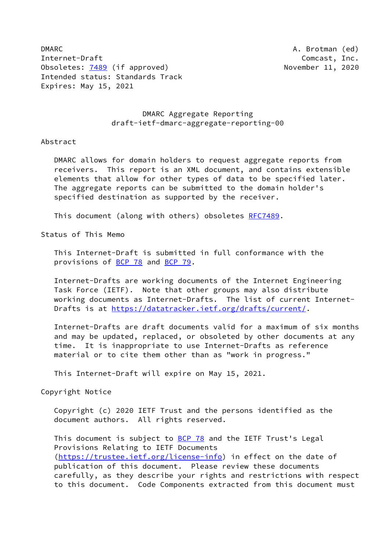DMARC **A. Brotman (ed)** Internet-Draft Comcast, Inc. Obsoletes: [7489](https://datatracker.ietf.org/doc/pdf/rfc7489) (if approved) November 11, 2020 Intended status: Standards Track Expires: May 15, 2021

## DMARC Aggregate Reporting draft-ietf-dmarc-aggregate-reporting-00

### Abstract

 DMARC allows for domain holders to request aggregate reports from receivers. This report is an XML document, and contains extensible elements that allow for other types of data to be specified later. The aggregate reports can be submitted to the domain holder's specified destination as supported by the receiver.

This document (along with others) obsoletes [RFC7489.](https://datatracker.ietf.org/doc/pdf/rfc7489)

Status of This Memo

 This Internet-Draft is submitted in full conformance with the provisions of **BCP 78** and **BCP 79**.

 Internet-Drafts are working documents of the Internet Engineering Task Force (IETF). Note that other groups may also distribute working documents as Internet-Drafts. The list of current Internet Drafts is at<https://datatracker.ietf.org/drafts/current/>.

 Internet-Drafts are draft documents valid for a maximum of six months and may be updated, replaced, or obsoleted by other documents at any time. It is inappropriate to use Internet-Drafts as reference material or to cite them other than as "work in progress."

This Internet-Draft will expire on May 15, 2021.

Copyright Notice

 Copyright (c) 2020 IETF Trust and the persons identified as the document authors. All rights reserved.

This document is subject to **[BCP 78](https://datatracker.ietf.org/doc/pdf/bcp78)** and the IETF Trust's Legal Provisions Relating to IETF Documents [\(https://trustee.ietf.org/license-info](https://trustee.ietf.org/license-info)) in effect on the date of publication of this document. Please review these documents carefully, as they describe your rights and restrictions with respect to this document. Code Components extracted from this document must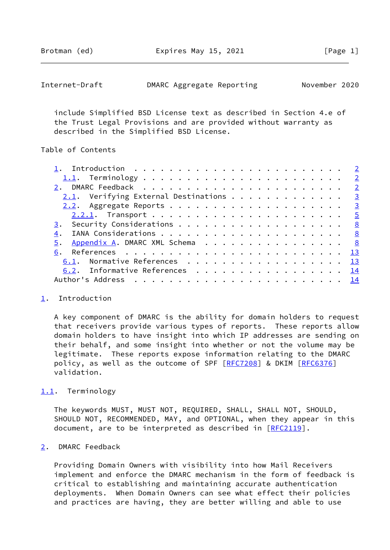Brotman (ed) **Expires May 15, 2021** [Page 1]

<span id="page-1-1"></span>

| Internet-Draft | DMARC Aggregate Reporting |  | November 2020 |  |
|----------------|---------------------------|--|---------------|--|
|----------------|---------------------------|--|---------------|--|

 include Simplified BSD License text as described in Section 4.e of the Trust Legal Provisions and are provided without warranty as described in the Simplified BSD License.

### Table of Contents

| $2.1$ . Verifying External Destinations 3 |  |
|-------------------------------------------|--|
|                                           |  |
|                                           |  |
|                                           |  |
|                                           |  |
| 5. Appendix A. DMARC XML Schema 8         |  |
| 6.                                        |  |
| 6.1. Normative References 13              |  |
| 6.2. Informative References 14            |  |
|                                           |  |
|                                           |  |

### <span id="page-1-0"></span>[1](#page-1-0). Introduction

 A key component of DMARC is the ability for domain holders to request that receivers provide various types of reports. These reports allow domain holders to have insight into which IP addresses are sending on their behalf, and some insight into whether or not the volume may be legitimate. These reports expose information relating to the DMARC policy, as well as the outcome of SPF [[RFC7208](https://datatracker.ietf.org/doc/pdf/rfc7208)] & DKIM [\[RFC6376](https://datatracker.ietf.org/doc/pdf/rfc6376)] validation.

## <span id="page-1-2"></span>[1.1](#page-1-2). Terminology

 The keywords MUST, MUST NOT, REQUIRED, SHALL, SHALL NOT, SHOULD, SHOULD NOT, RECOMMENDED, MAY, and OPTIONAL, when they appear in this document, are to be interpreted as described in [\[RFC2119](https://datatracker.ietf.org/doc/pdf/rfc2119)].

# <span id="page-1-3"></span>[2](#page-1-3). DMARC Feedback

 Providing Domain Owners with visibility into how Mail Receivers implement and enforce the DMARC mechanism in the form of feedback is critical to establishing and maintaining accurate authentication deployments. When Domain Owners can see what effect their policies and practices are having, they are better willing and able to use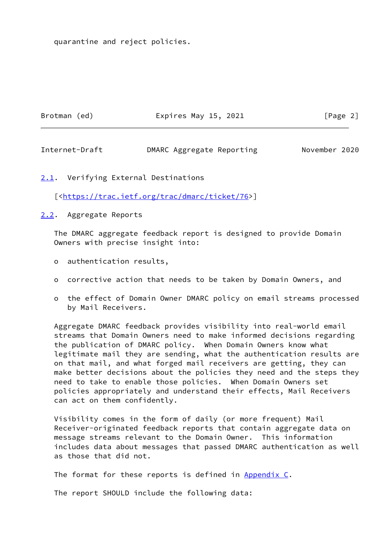quarantine and reject policies.

Brotman (ed) **Expires May 15, 2021** [Page 2]

<span id="page-2-1"></span>Internet-Draft DMARC Aggregate Reporting November 2020

<span id="page-2-0"></span>[2.1](#page-2-0). Verifying External Destinations

[[<https://trac.ietf.org/trac/dmarc/ticket/76>](https://trac.ietf.org/trac/dmarc/ticket/76)]

<span id="page-2-2"></span>[2.2](#page-2-2). Aggregate Reports

 The DMARC aggregate feedback report is designed to provide Domain Owners with precise insight into:

- o authentication results,
- o corrective action that needs to be taken by Domain Owners, and
- o the effect of Domain Owner DMARC policy on email streams processed by Mail Receivers.

 Aggregate DMARC feedback provides visibility into real-world email streams that Domain Owners need to make informed decisions regarding the publication of DMARC policy. When Domain Owners know what legitimate mail they are sending, what the authentication results are on that mail, and what forged mail receivers are getting, they can make better decisions about the policies they need and the steps they need to take to enable those policies. When Domain Owners set policies appropriately and understand their effects, Mail Receivers can act on them confidently.

 Visibility comes in the form of daily (or more frequent) Mail Receiver-originated feedback reports that contain aggregate data on message streams relevant to the Domain Owner. This information includes data about messages that passed DMARC authentication as well as those that did not.

The format for these reports is defined in Appendix C.

The report SHOULD include the following data: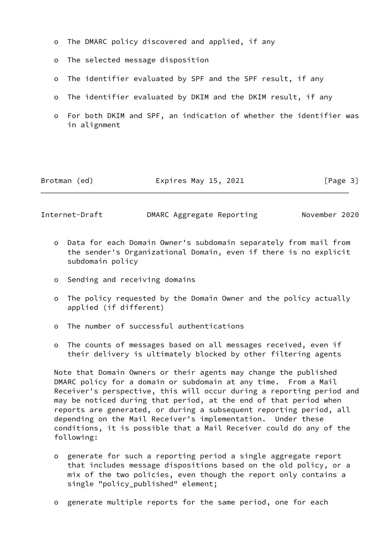- o The DMARC policy discovered and applied, if any
- o The selected message disposition
- o The identifier evaluated by SPF and the SPF result, if any
- o The identifier evaluated by DKIM and the DKIM result, if any
- o For both DKIM and SPF, an indication of whether the identifier was in alignment

| Brotman (ed) | Expires May 15, 2021 | [Page 3] |
|--------------|----------------------|----------|
|--------------|----------------------|----------|

Internet-Draft DMARC Aggregate Reporting November 2020

- o Data for each Domain Owner's subdomain separately from mail from the sender's Organizational Domain, even if there is no explicit subdomain policy
- o Sending and receiving domains
- o The policy requested by the Domain Owner and the policy actually applied (if different)
- o The number of successful authentications
- o The counts of messages based on all messages received, even if their delivery is ultimately blocked by other filtering agents

 Note that Domain Owners or their agents may change the published DMARC policy for a domain or subdomain at any time. From a Mail Receiver's perspective, this will occur during a reporting period and may be noticed during that period, at the end of that period when reports are generated, or during a subsequent reporting period, all depending on the Mail Receiver's implementation. Under these conditions, it is possible that a Mail Receiver could do any of the following:

- o generate for such a reporting period a single aggregate report that includes message dispositions based on the old policy, or a mix of the two policies, even though the report only contains a single "policy\_published" element;
- o generate multiple reports for the same period, one for each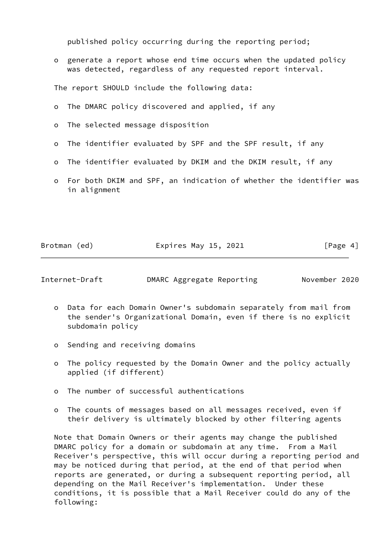published policy occurring during the reporting period;

 o generate a report whose end time occurs when the updated policy was detected, regardless of any requested report interval.

The report SHOULD include the following data:

- o The DMARC policy discovered and applied, if any
- o The selected message disposition
- o The identifier evaluated by SPF and the SPF result, if any
- o The identifier evaluated by DKIM and the DKIM result, if any
- o For both DKIM and SPF, an indication of whether the identifier was in alignment

Brotman (ed) **Expires May 15, 2021** [Page 4]

<span id="page-4-0"></span>Internet-Draft DMARC Aggregate Reporting November 2020

- o Data for each Domain Owner's subdomain separately from mail from the sender's Organizational Domain, even if there is no explicit subdomain policy
- o Sending and receiving domains
- o The policy requested by the Domain Owner and the policy actually applied (if different)
- o The number of successful authentications
- o The counts of messages based on all messages received, even if their delivery is ultimately blocked by other filtering agents

 Note that Domain Owners or their agents may change the published DMARC policy for a domain or subdomain at any time. From a Mail Receiver's perspective, this will occur during a reporting period and may be noticed during that period, at the end of that period when reports are generated, or during a subsequent reporting period, all depending on the Mail Receiver's implementation. Under these conditions, it is possible that a Mail Receiver could do any of the following: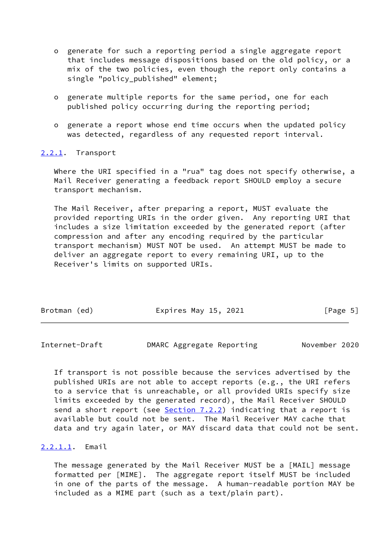- o generate for such a reporting period a single aggregate report that includes message dispositions based on the old policy, or a mix of the two policies, even though the report only contains a single "policy\_published" element;
- o generate multiple reports for the same period, one for each published policy occurring during the reporting period;
- o generate a report whose end time occurs when the updated policy was detected, regardless of any requested report interval.

### <span id="page-5-0"></span>[2.2.1](#page-5-0). Transport

 Where the URI specified in a "rua" tag does not specify otherwise, a Mail Receiver generating a feedback report SHOULD employ a secure transport mechanism.

 The Mail Receiver, after preparing a report, MUST evaluate the provided reporting URIs in the order given. Any reporting URI that includes a size limitation exceeded by the generated report (after compression and after any encoding required by the particular transport mechanism) MUST NOT be used. An attempt MUST be made to deliver an aggregate report to every remaining URI, up to the Receiver's limits on supported URIs.

| Brotman (ed) | Expires May 15, 2021 | [Page 5] |
|--------------|----------------------|----------|

Internet-Draft DMARC Aggregate Reporting November 2020

 If transport is not possible because the services advertised by the published URIs are not able to accept reports (e.g., the URI refers to a service that is unreachable, or all provided URIs specify size limits exceeded by the generated record), the Mail Receiver SHOULD send a short report (see  $Section 7.2.2$ ) indicating that a report is available but could not be sent. The Mail Receiver MAY cache that data and try again later, or MAY discard data that could not be sent.

#### <span id="page-5-1"></span>[2.2.1.1](#page-5-1). Email

 The message generated by the Mail Receiver MUST be a [MAIL] message formatted per [MIME]. The aggregate report itself MUST be included in one of the parts of the message. A human-readable portion MAY be included as a MIME part (such as a text/plain part).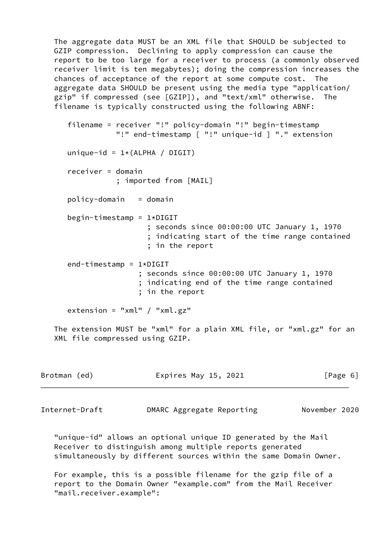The aggregate data MUST be an XML file that SHOULD be subjected to GZIP compression. Declining to apply compression can cause the report to be too large for a receiver to process (a commonly observed receiver limit is ten megabytes); doing the compression increases the chances of acceptance of the report at some compute cost. The aggregate data SHOULD be present using the media type "application/ gzip" if compressed (see [GZIP]), and "text/xml" otherwise. The filename is typically constructed using the following ABNF:

 filename = receiver "!" policy-domain "!" begin-timestamp "!" end-timestamp [ "!" unique-id ] "." extension unique-id =  $1*(ALPHA / DIGIT)$  receiver = domain ; imported from [MAIL]  $policy$ -domain = domain  $begin$ -timestamp = 1\*DIGIT ; seconds since 00:00:00 UTC January 1, 1970 ; indicating start of the time range contained ; in the report end-timestamp = 1\*DIGIT ; seconds since 00:00:00 UTC January 1, 1970

 ; indicating end of the time range contained ; in the report

extension = " $xml"$  / " $xml.gz"$ 

 The extension MUST be "xml" for a plain XML file, or "xml.gz" for an XML file compressed using GZIP.

| Expires May 15, 2021<br>Brotman (ed)<br>[Page 6] |  |  |  |  |  |  |  |
|--------------------------------------------------|--|--|--|--|--|--|--|
|--------------------------------------------------|--|--|--|--|--|--|--|

Internet-Draft DMARC Aggregate Reporting November 2020

 "unique-id" allows an optional unique ID generated by the Mail Receiver to distinguish among multiple reports generated simultaneously by different sources within the same Domain Owner.

 For example, this is a possible filename for the gzip file of a report to the Domain Owner "example.com" from the Mail Receiver "mail.receiver.example":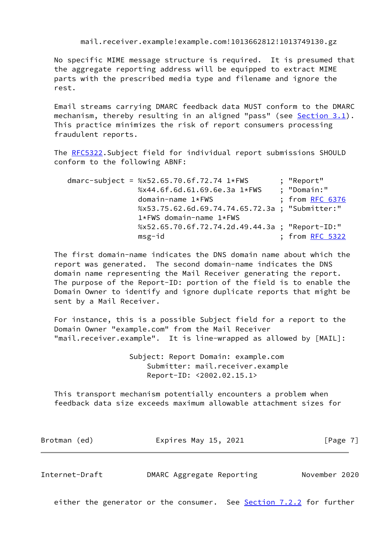mail.receiver.example!example.com!1013662812!1013749130.gz

 No specific MIME message structure is required. It is presumed that the aggregate reporting address will be equipped to extract MIME parts with the prescribed media type and filename and ignore the rest.

 Email streams carrying DMARC feedback data MUST conform to the DMARC mechanism, thereby resulting in an aligned "pass" (see Section 3.1). This practice minimizes the risk of report consumers processing fraudulent reports.

 The [RFC5322.](https://datatracker.ietf.org/doc/pdf/rfc5322)Subject field for individual report submissions SHOULD conform to the following ABNF:

 dmarc-subject = %x52.65.70.6f.72.74 1\*FWS ; "Report" %x44.6f.6d.61.69.6e.3a 1\*FWS domain-name 1\*FWS ; from [RFC 6376](https://datatracker.ietf.org/doc/pdf/rfc6376) %x53.75.62.6d.69.74.74.65.72.3a ; "Submitter:" 1\*FWS domain-name 1\*FWS %x52.65.70.6f.72.74.2d.49.44.3a ; "Report-ID:" msg-id ; from [RFC 5322](https://datatracker.ietf.org/doc/pdf/rfc5322)

 The first domain-name indicates the DNS domain name about which the report was generated. The second domain-name indicates the DNS domain name representing the Mail Receiver generating the report. The purpose of the Report-ID: portion of the field is to enable the Domain Owner to identify and ignore duplicate reports that might be sent by a Mail Receiver.

 For instance, this is a possible Subject field for a report to the Domain Owner "example.com" from the Mail Receiver "mail.receiver.example". It is line-wrapped as allowed by [MAIL]:

> Subject: Report Domain: example.com Submitter: mail.receiver.example Report-ID: <2002.02.15.1>

 This transport mechanism potentially encounters a problem when feedback data size exceeds maximum allowable attachment sizes for

| Brotman (ed) | Expires May 15, 2021 | [Page 7] |  |
|--------------|----------------------|----------|--|
|--------------|----------------------|----------|--|

<span id="page-7-0"></span>Internet-Draft DMARC Aggregate Reporting November 2020

either the generator or the consumer. See Section 7.2.2 for further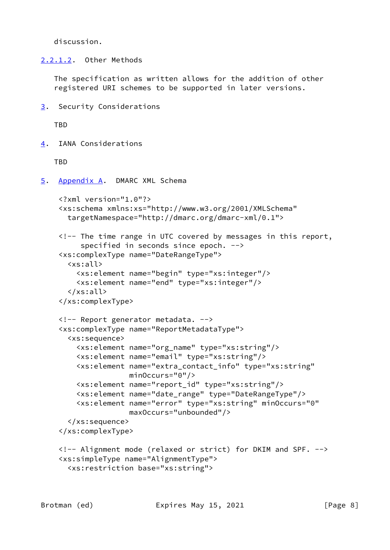discussion.

<span id="page-8-3"></span>[2.2.1.2](#page-8-3). Other Methods

 The specification as written allows for the addition of other registered URI schemes to be supported in later versions.

<span id="page-8-0"></span>[3](#page-8-0). Security Considerations

**TBD** 

<span id="page-8-1"></span>[4](#page-8-1). IANA Considerations

TBD

<span id="page-8-2"></span>[5](#page-8-2). Appendix A. DMARC XML Schema

```
 <?xml version="1.0"?>
 <xs:schema xmlns:xs="http://www.w3.org/2001/XMLSchema"
  targetNamespace="http://dmarc.org/dmarc-xml/0.1">
 <!-- The time range in UTC covered by messages in this report,
     specified in seconds since epoch. -->
 <xs:complexType name="DateRangeType">
   <xs:all>
     <xs:element name="begin" type="xs:integer"/>
     <xs:element name="end" type="xs:integer"/>
   </xs:all>
 </xs:complexType>
 <!-- Report generator metadata. -->
 <xs:complexType name="ReportMetadataType">
   <xs:sequence>
     <xs:element name="org_name" type="xs:string"/>
     <xs:element name="email" type="xs:string"/>
     <xs:element name="extra_contact_info" type="xs:string"
                 minOccurs="0"/>
     <xs:element name="report_id" type="xs:string"/>
     <xs:element name="date_range" type="DateRangeType"/>
     <xs:element name="error" type="xs:string" minOccurs="0"
                 maxOccurs="unbounded"/>
   </xs:sequence>
 </xs:complexType>
 <!-- Alignment mode (relaxed or strict) for DKIM and SPF. -->
 <xs:simpleType name="AlignmentType">
   <xs:restriction base="xs:string">
```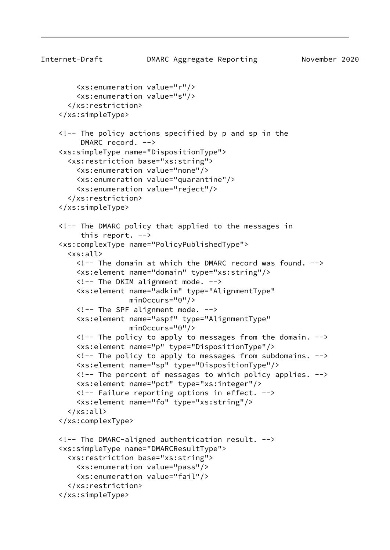```
Internet-Draft DMARC Aggregate Reporting November 2020
         <xs:enumeration value="r"/>
         <xs:enumeration value="s"/>
       </xs:restriction>
     </xs:simpleType>
     <!-- The policy actions specified by p and sp in the
          DMARC record. -->
     <xs:simpleType name="DispositionType">
       <xs:restriction base="xs:string">
         <xs:enumeration value="none"/>
         <xs:enumeration value="quarantine"/>
         <xs:enumeration value="reject"/>
       </xs:restriction>
     </xs:simpleType>
     <!-- The DMARC policy that applied to the messages in
         this report. \leftarrow <xs:complexType name="PolicyPublishedType">
       <xs:all>
         <!-- The domain at which the DMARC record was found. -->
         <xs:element name="domain" type="xs:string"/>
        \langle!-- The DKIM alignment mode. -->
         <xs:element name="adkim" type="AlignmentType"
                      minOccurs="0"/>
        \langle!-- The SPF alignment mode. -->
         <xs:element name="aspf" type="AlignmentType"
                      minOccurs="0"/>
         <!-- The policy to apply to messages from the domain. -->
         <xs:element name="p" type="DispositionType"/>
         <!-- The policy to apply to messages from subdomains. -->
         <xs:element name="sp" type="DispositionType"/>
         <!-- The percent of messages to which policy applies. -->
         <xs:element name="pct" type="xs:integer"/>
         <!-- Failure reporting options in effect. -->
         <xs:element name="fo" type="xs:string"/>
      \langle x \rangle </axistable \langle x \rangle </xs:complexType>
     <!-- The DMARC-aligned authentication result. -->
     <xs:simpleType name="DMARCResultType">
       <xs:restriction base="xs:string">
         <xs:enumeration value="pass"/>
         <xs:enumeration value="fail"/>
       </xs:restriction>
     </xs:simpleType>
```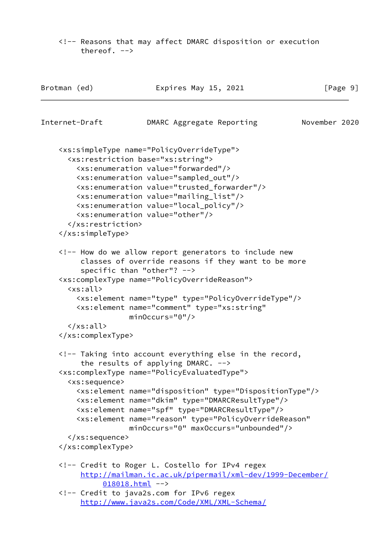<!-- Reasons that may affect DMARC disposition or execution thereof. -->

| Internet-Draft<br>November 2020<br>DMARC Aggregate Reporting<br><xs:simpletype name="PolicyOverrideType"><br/><xs:restriction base="xs:string"><br/><xs:enumeration value="forwarded"></xs:enumeration><br/><xs:enumeration value="sampled_out"></xs:enumeration><br/><xs:enumeration value="trusted_forwarder"></xs:enumeration><br/><xs:enumeration value="mailing_list"></xs:enumeration><br/><xs:enumeration value="local_policy"></xs:enumeration><br/><xs:enumeration value="other"></xs:enumeration><br/></xs:restriction><br/></xs:simpletype><br>How do we allow report generators to include new<br>classes of override reasons if they want to be more<br>specific than "other"? <math>\leftarrow</math><br><xs:complexType name="PolicyOverrideReason"><br>< x s : a l l<br><xs:element name="type" type="PolicyOverrideType"/><br><xs:element name="comment" type="xs:string"<br><math>minOccurs="0"</math>/><br><math>\langle x \rangle</math> / <math>\langle x \rangle</math> all<br></xs:complexType><br><!-- Taking into account everything else in the record,<br>the results of applying DMARC. <math>\leftarrow</math><br><xs:complexType name="PolicyEvaluatedType"></th><th colspan=2>[Page 9]</th></tr><tr><th></th><th></th></tr><tr><td></td><td></td></tr><tr><td></td><td></td></tr><tr><td></td><td></td></tr><tr><td><xs:sequence></td><td></td></tr><tr><td><xs:element name="disposition" type="DispositionType"/><br><xs:element name="dkim" type="DMARCResultType"/><br><xs:element name="spf" type="DMARCResultType"/><br><xs:element name="reason" type="PolicyOverrideReason"<br>minOccurs="0" maxOccurs="unbounded"/><br></xs:sequence></td><td></td></tr><tr><td></xs:complexType></td><td></td></tr><tr><td><!-- Credit to Roger L. Costello for IPv4 regex<br>http://mailman.ic.ac.uk/pipermail/xml-dev/1999-December/<br><math>018018.html</math><br><!-- Credit to java2s.com for IPv6 regex<br>http://www.java2s.com/Code/XML/XML-Schema/ <td></td> |  |
|-------------------------------------------------------------------------------------------------------------------------------------------------------------------------------------------------------------------------------------------------------------------------------------------------------------------------------------------------------------------------------------------------------------------------------------------------------------------------------------------------------------------------------------------------------------------------------------------------------------------------------------------------------------------------------------------------------------------------------------------------------------------------------------------------------------------------------------------------------------------------------------------------------------------------------------------------------------------------------------------------------------------------------------------------------------------------------------------------------------------------------------------------------------------------------------------------------------------------------------------------------------------------------------------------------------------------------------------------------------------------------------------------------------------------------------------------------------------------------------------------------------------------------------------------------------------------------------------------------------------------------------------------------------------------------------------------------------------------------------------------------------------------------------------------------------------------------------------------------------------------------------------------------------------------------------------------------------------------------------------------|--|
|-------------------------------------------------------------------------------------------------------------------------------------------------------------------------------------------------------------------------------------------------------------------------------------------------------------------------------------------------------------------------------------------------------------------------------------------------------------------------------------------------------------------------------------------------------------------------------------------------------------------------------------------------------------------------------------------------------------------------------------------------------------------------------------------------------------------------------------------------------------------------------------------------------------------------------------------------------------------------------------------------------------------------------------------------------------------------------------------------------------------------------------------------------------------------------------------------------------------------------------------------------------------------------------------------------------------------------------------------------------------------------------------------------------------------------------------------------------------------------------------------------------------------------------------------------------------------------------------------------------------------------------------------------------------------------------------------------------------------------------------------------------------------------------------------------------------------------------------------------------------------------------------------------------------------------------------------------------------------------------------------|--|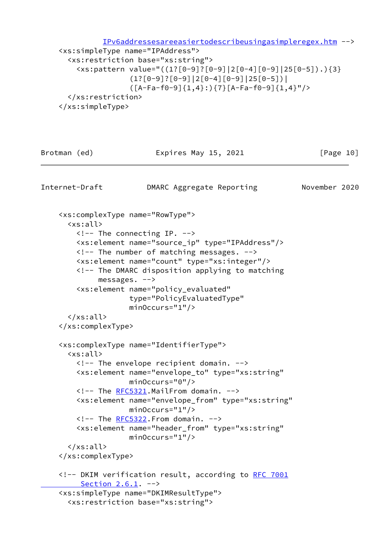[IPv6addressesareeasiertodescribeusingasimpleregex.htm](http://www.java2s.com/Code/XML/XML-Schema/IPv6addressesareeasiertodescribeusingasimpleregex.htm) -->

```
 <xs:simpleType name="IPAddress">
   <xs:restriction base="xs:string">
     <xs:pattern value="((1?[0-9]?[0-9]|2[0-4][0-9]|25[0-5]).){3}
                (1?[0-9]![0-9][2[0-4][0-9][25[0-5])] ([A-Fa-f0-9]{1,4}:){7}[A-Fa-f0-9]{1,4}"/>
   </xs:restriction>
 </xs:simpleType>
```
Brotman (ed) **Expires May 15, 2021** [Page 10]

Internet-Draft DMARC Aggregate Reporting November 2020

```
 <xs:complexType name="RowType">
   <xs:all>
     <!-- The connecting IP. -->
     <xs:element name="source_ip" type="IPAddress"/>
    \langle -- The number of matching messages. \rightarrow <xs:element name="count" type="xs:integer"/>
     <!-- The DMARC disposition applying to matching
          messages. -->
     <xs:element name="policy_evaluated"
                  type="PolicyEvaluatedType"
                  minOccurs="1"/>
  \langle x \rangle </all>
 </xs:complexType>
 <xs:complexType name="IdentifierType">
   <xs:all>
     <!-- The envelope recipient domain. -->
     <xs:element name="envelope_to" type="xs:string"
                  minOccurs="0"/>
     <!-- The RFC5321.MailFrom domain. -->
     <xs:element name="envelope_from" type="xs:string"
                  minOccurs="1"/>
     RFC5322.From domain. -->
     <xs:element name="header_from" type="xs:string"
                  minOccurs="1"/>
  \langle x \rangle /xs:all>
 </xs:complexType>
 <!-- DKIM verification result, according to RFC 7001
    Section 2.6.1. -->
 <xs:simpleType name="DKIMResultType">
   <xs:restriction base="xs:string">
```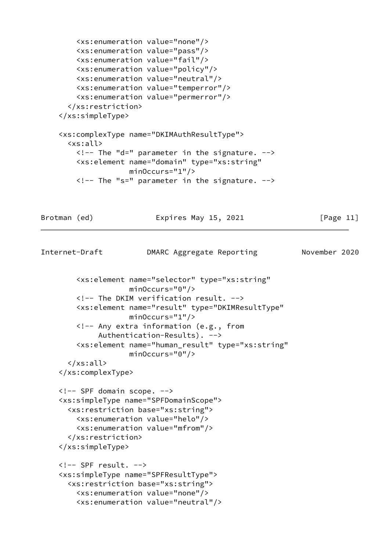```
 <xs:enumeration value="none"/>
        <xs:enumeration value="pass"/>
         <xs:enumeration value="fail"/>
        <xs:enumeration value="policy"/>
        <xs:enumeration value="neutral"/>
        <xs:enumeration value="temperror"/>
         <xs:enumeration value="permerror"/>
      </xs:restriction>
     </xs:simpleType>
     <xs:complexType name="DKIMAuthResultType">
      <xs:all>
       \langle !-- The "d=" parameter in the signature. -->
        <xs:element name="domain" type="xs:string"
                    minOccurs="1"/>
       \langle !-- The "s=" parameter in the signature. -->
Brotman (ed) Expires May 15, 2021 [Page 11]
Internet-Draft DMARC Aggregate Reporting November 2020
        <xs:element name="selector" type="xs:string"
```

```
 minOccurs="0"/>
 <!-- The DKIM verification result. -->
 <xs:element name="result" type="DKIMResultType"
             minOccurs="1"/>
 <!-- Any extra information (e.g., from
```

```
 Authentication-Results). -->
 <xs:element name="human_result" type="xs:string"
             minOccurs="0"/>
```

```
 </xs:all>
 </xs:complexType>
```

```
 <!-- SPF domain scope. -->
 <xs:simpleType name="SPFDomainScope">
   <xs:restriction base="xs:string">
     <xs:enumeration value="helo"/>
     <xs:enumeration value="mfrom"/>
   </xs:restriction>
 </xs:simpleType>
```

```
\langle!-- SPF result. -->
 <xs:simpleType name="SPFResultType">
   <xs:restriction base="xs:string">
     <xs:enumeration value="none"/>
     <xs:enumeration value="neutral"/>
```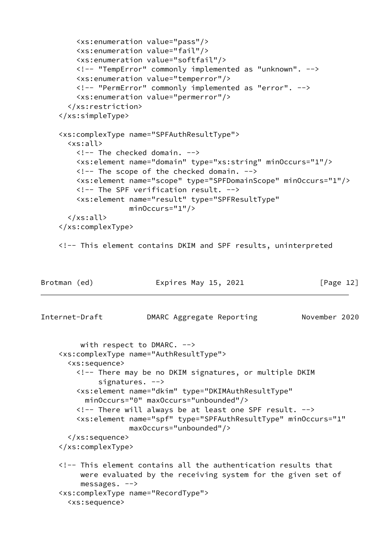```
 <xs:enumeration value="pass"/>
         <xs:enumeration value="fail"/>
         <xs:enumeration value="softfail"/>
         <!-- "TempError" commonly implemented as "unknown". -->
         <xs:enumeration value="temperror"/>
         <!-- "PermError" commonly implemented as "error". -->
         <xs:enumeration value="permerror"/>
       </xs:restriction>
     </xs:simpleType>
     <xs:complexType name="SPFAuthResultType">
       <xs:all>
        \langle!-- The checked domain. -->
         <xs:element name="domain" type="xs:string" minOccurs="1"/>
        \langle!-- The scope of the checked domain. \langle->
         <xs:element name="scope" type="SPFDomainScope" minOccurs="1"/>
         <!-- The SPF verification result. -->
         <xs:element name="result" type="SPFResultType"
                     minOccurs="1"/>
       </xs:all>
     </xs:complexType>
     <!-- This element contains DKIM and SPF results, uninterpreted
Brotman (ed) Expires May 15, 2021 [Page 12]
Internet-Draft DMARC Aggregate Reporting November 2020
          with respect to DMARC. -->
     <xs:complexType name="AuthResultType">
       <xs:sequence>
         <!-- There may be no DKIM signatures, or multiple DKIM
              signatures. -->
         <xs:element name="dkim" type="DKIMAuthResultType"
           minOccurs="0" maxOccurs="unbounded"/>
         <!-- There will always be at least one SPF result. -->
         <xs:element name="spf" type="SPFAuthResultType" minOccurs="1"
                     maxOccurs="unbounded"/>
       </xs:sequence>
     </xs:complexType>
     <!-- This element contains all the authentication results that
          were evaluated by the receiving system for the given set of
          messages. -->
     <xs:complexType name="RecordType">
       <xs:sequence>
```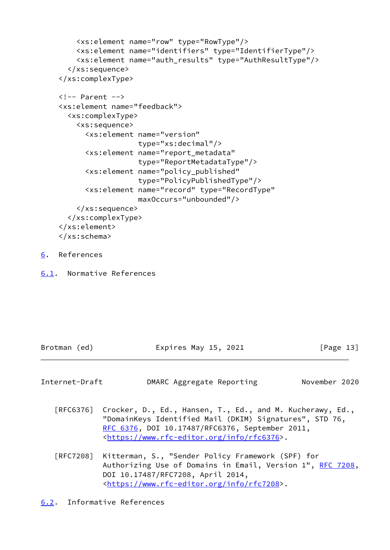```
 <xs:element name="row" type="RowType"/>
     <xs:element name="identifiers" type="IdentifierType"/>
     <xs:element name="auth_results" type="AuthResultType"/>
   </xs:sequence>
 </xs:complexType>
\langle!-- Parent -->
 <xs:element name="feedback">
   <xs:complexType>
     <xs:sequence>
       <xs:element name="version"
                    type="xs:decimal"/>
       <xs:element name="report_metadata"
                    type="ReportMetadataType"/>
       <xs:element name="policy_published"
                    type="PolicyPublishedType"/>
       <xs:element name="record" type="RecordType"
                    maxOccurs="unbounded"/>
     </xs:sequence>
   </xs:complexType>
 </xs:element>
 </xs:schema>
```
- <span id="page-14-0"></span>[6](#page-14-0). References
- <span id="page-14-1"></span>[6.1](#page-14-1). Normative References

| Brotman (ed)<br>Expires May 15, 2021<br>[Page 13] |  |
|---------------------------------------------------|--|
|---------------------------------------------------|--|

<span id="page-14-3"></span>

| Internet-Draft | DMARC Aggregate Reporting |  | November 2020 |  |
|----------------|---------------------------|--|---------------|--|
|----------------|---------------------------|--|---------------|--|

- [RFC6376] Crocker, D., Ed., Hansen, T., Ed., and M. Kucherawy, Ed., "DomainKeys Identified Mail (DKIM) Signatures", STD 76, [RFC 6376,](https://datatracker.ietf.org/doc/pdf/rfc6376) DOI 10.17487/RFC6376, September 2011, <[https://www.rfc-editor.org/info/rfc6376>](https://www.rfc-editor.org/info/rfc6376).
- <span id="page-14-2"></span> [RFC7208] Kitterman, S., "Sender Policy Framework (SPF) for Authorizing Use of Domains in Email, Version 1", [RFC 7208,](https://datatracker.ietf.org/doc/pdf/rfc7208) DOI 10.17487/RFC7208, April 2014, <[https://www.rfc-editor.org/info/rfc7208>](https://www.rfc-editor.org/info/rfc7208).